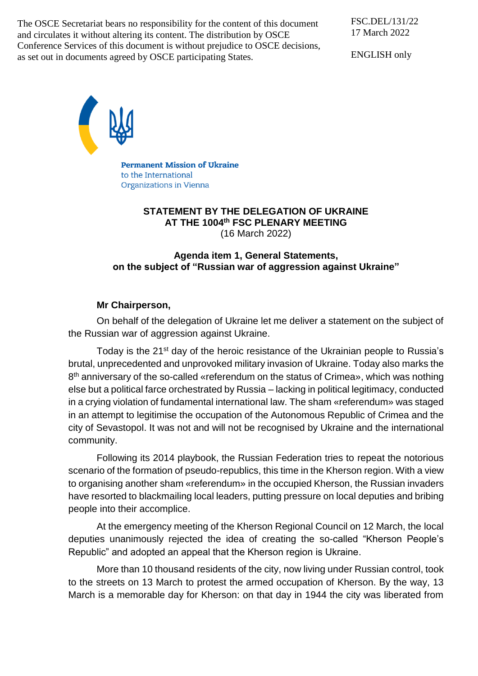The OSCE Secretariat bears no responsibility for the content of this document and circulates it without altering its content. The distribution by OSCE Conference Services of this document is without prejudice to OSCE decisions, as set out in documents agreed by OSCE participating States.

FSC.DEL/131/22 17 March 2022

ENGLISH only



**Permanent Mission of Ukraine** to the International Organizations in Vienna

### **STATEMENT BY THE DELEGATION OF UKRAINE AT THE 1004 th FSC PLENARY MEETING** (16 March 2022)

## **Agenda item 1, General Statements, on the subject of "Russian war of aggression against Ukraine"**

# **Mr Chairperson,**

On behalf of the delegation of Ukraine let me deliver a statement on the subject of the Russian war of aggression against Ukraine.

Today is the 21<sup>st</sup> day of the heroic resistance of the Ukrainian people to Russia's brutal, unprecedented and unprovoked military invasion of Ukraine. Today also marks the 8<sup>th</sup> anniversary of the so-called «referendum on the status of Crimea», which was nothing else but a political farce orchestrated by Russia – lacking in political legitimacy, conducted in a crying violation of fundamental international law. The sham «referendum» was staged in an attempt to legitimise the occupation of the Autonomous Republic of Crimea and the city of Sevastopol. It was not and will not be recognised by Ukraine and the international community.

Following its 2014 playbook, the Russian Federation tries to repeat the notorious scenario of the formation of pseudo-republics, this time in the Kherson region. With a view to organising another sham «referendum» in the occupied Kherson, the Russian invaders have resorted to blackmailing local leaders, putting pressure on local deputies and bribing people into their accomplice.

At the emergency meeting of the Kherson Regional Council on 12 March, the local deputies unanimously rejected the idea of creating the so-called "Kherson People's Republic" and adopted an appeal that the Kherson region is Ukraine.

More than 10 thousand residents of the city, now living under Russian control, took to the streets on 13 March to protest the armed occupation of Kherson. By the way, 13 March is a memorable day for Kherson: on that day in 1944 the city was liberated from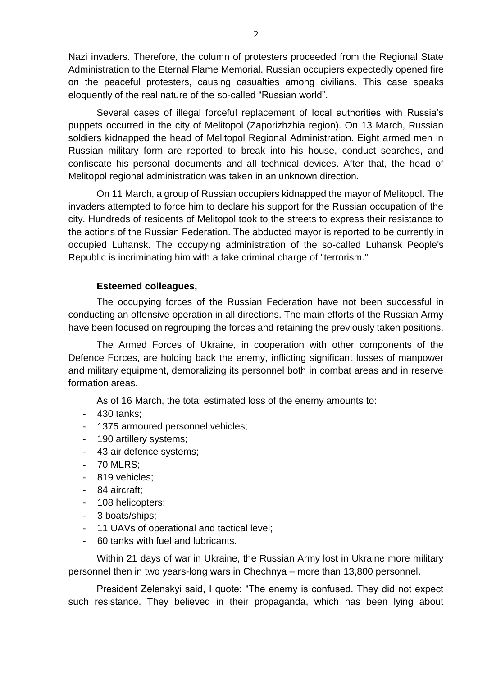Nazi invaders. Therefore, the column of protesters proceeded from the Regional State Administration to the Eternal Flame Memorial. Russian occupiers expectedly opened fire on the peaceful protesters, causing casualties among civilians. This case speaks eloquently of the real nature of the so-called "Russian world".

Several cases of illegal forceful replacement of local authorities with Russia's puppets occurred in the city of Melitopol (Zaporizhzhia region). On 13 March, Russian soldiers kidnapped the head of Melitopol Regional Administration. Eight armed men in Russian military form are reported to break into his house, conduct searches, and confiscate his personal documents and all technical devices. After that, the head of Melitopol regional administration was taken in an unknown direction.

On 11 March, a group of Russian occupiers kidnapped the mayor of Melitopol. The invaders attempted to force him to declare his support for the Russian occupation of the city. Hundreds of residents of Melitopol took to the streets to express their resistance to the actions of the Russian Federation. The abducted mayor is reported to be currently in occupied Luhansk. The occupying administration of the so-called Luhansk People's Republic is incriminating him with a fake criminal charge of "terrorism."

### **Esteemed colleagues,**

The occupying forces of the Russian Federation have not been successful in conducting an offensive operation in all directions. The main efforts of the Russian Army have been focused on regrouping the forces and retaining the previously taken positions.

The Armed Forces of Ukraine, in cooperation with other components of the Defence Forces, are holding back the enemy, inflicting significant losses of manpower and military equipment, demoralizing its personnel both in combat areas and in reserve formation areas.

As of 16 March, the total estimated loss of the enemy amounts to:

- 430 tanks;
- 1375 armoured personnel vehicles;
- 190 artillery systems;
- 43 air defence systems;
- 70 MLRS;
- 819 vehicles;
- 84 aircraft;
- 108 helicopters;
- 3 boats/ships;
- 11 UAVs of operational and tactical level;
- 60 tanks with fuel and lubricants.

Within 21 days of war in Ukraine, the Russian Army lost in Ukraine more military personnel then in two years-long wars in Chechnya – more than 13,800 personnel.

President Zelenskyi said, I quote: "The enemy is confused. They did not expect such resistance. They believed in their propaganda, which has been lying about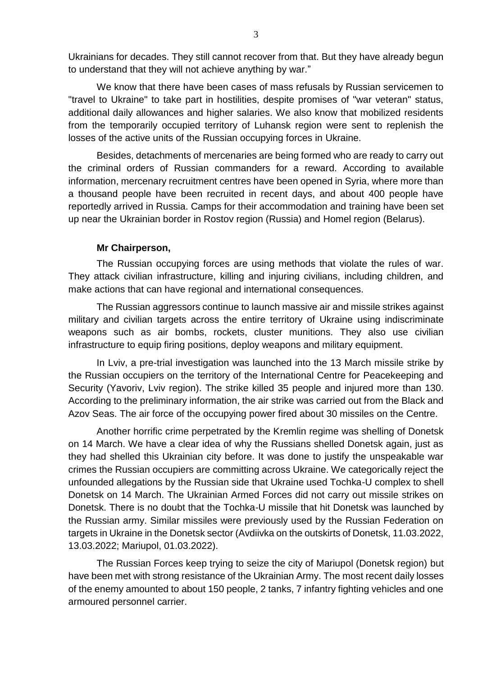Ukrainians for decades. They still cannot recover from that. But they have already begun to understand that they will not achieve anything by war."

We know that there have been cases of mass refusals by Russian servicemen to "travel to Ukraine" to take part in hostilities, despite promises of "war veteran" status, additional daily allowances and higher salaries. We also know that mobilized residents from the temporarily occupied territory of Luhansk region were sent to replenish the losses of the active units of the Russian occupying forces in Ukraine.

Besides, detachments of mercenaries are being formed who are ready to carry out the criminal orders of Russian commanders for a reward. According to available information, mercenary recruitment centres have been opened in Syria, where more than a thousand people have been recruited in recent days, and about 400 people have reportedly arrived in Russia. Camps for their accommodation and training have been set up near the Ukrainian border in Rostov region (Russia) and Homel region (Belarus).

### **Mr Chairperson,**

The Russian occupying forces are using methods that violate the rules of war. They attack civilian infrastructure, killing and injuring civilians, including children, and make actions that can have regional and international consequences.

The Russian aggressors continue to launch massive air and missile strikes against military and civilian targets across the entire territory of Ukraine using indiscriminate weapons such as air bombs, rockets, cluster munitions. They also use civilian infrastructure to equip firing positions, deploy weapons and military equipment.

In Lviv, a pre-trial investigation was launched into the 13 March missile strike by the Russian occupiers on the territory of the International Centre for Peacekeeping and Security (Yavoriv, Lviv region). The strike killed 35 people and injured more than 130. According to the preliminary information, the air strike was carried out from the Black and Azov Seas. The air force of the occupying power fired about 30 missiles on the Centre.

Another horrific crime perpetrated by the Kremlin regime was shelling of Donetsk on 14 March. We have a clear idea of why the Russians shelled Donetsk again, just as they had shelled this Ukrainian city before. It was done to justify the unspeakable war crimes the Russian occupiers are committing across Ukraine. We categorically reject the unfounded allegations by the Russian side that Ukraine used Tochka-U complex to shell Donetsk on 14 March. The Ukrainian Armed Forces did not carry out missile strikes on Donetsk. There is no doubt that the Tochka-U missile that hit Donetsk was launched by the Russian army. Similar missiles were previously used by the Russian Federation on targets in Ukraine in the Donetsk sector (Avdiivka on the outskirts of Donetsk, 11.03.2022, 13.03.2022; Mariupol, 01.03.2022).

The Russian Forces keep trying to seize the city of Mariupol (Donetsk region) but have been met with strong resistance of the Ukrainian Army. The most recent daily losses of the enemy amounted to about 150 people, 2 tanks, 7 infantry fighting vehicles and one armoured personnel carrier.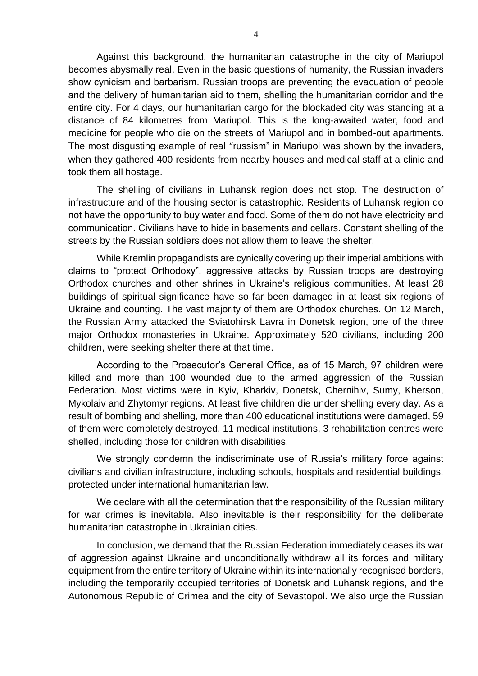Against this background, the humanitarian catastrophe in the city of Mariupol becomes abysmally real. Even in the basic questions of humanity, the Russian invaders show cynicism and barbarism. Russian troops are preventing the evacuation of people and the delivery of humanitarian aid to them, shelling the humanitarian corridor and the entire city. For 4 days, our humanitarian cargo for the blockaded city was standing at a distance of 84 kilometres from Mariupol. This is the long-awaited water, food and medicine for people who die on the streets of Mariupol and in bombed-out apartments. The most disgusting example of real "russism" in Mariupol was shown by the invaders, when they gathered 400 residents from nearby houses and medical staff at a clinic and took them all hostage.

The shelling of civilians in Luhansk region does not stop. The destruction of infrastructure and of the housing sector is catastrophic. Residents of Luhansk region do not have the opportunity to buy water and food. Some of them do not have electricity and communication. Civilians have to hide in basements and cellars. Constant shelling of the streets by the Russian soldiers does not allow them to leave the shelter.

While Kremlin propagandists are cynically covering up their imperial ambitions with claims to "protect Orthodoxy", aggressive attacks by Russian troops are destroying Orthodox churches and other shrines in Ukraine's religious communities. At least 28 buildings of spiritual significance have so far been damaged in at least six regions of Ukraine and counting. The vast majority of them are Orthodox churches. On 12 March, the Russian Army attacked the Sviatohirsk Lavra in Donetsk region, one of the three major Orthodox monasteries in Ukraine. Approximately 520 civilians, including 200 children, were seeking shelter there at that time.

According to the Prosecutor's General Office, as of 15 March, 97 children were killed and more than 100 wounded due to the armed aggression of the Russian Federation. Most victims were in Kyiv, Kharkiv, Donetsk, Chernihiv, Sumy, Kherson, Mykolaiv and Zhytomyr regions. At least five children die under shelling every day. As a result of bombing and shelling, more than 400 educational institutions were damaged, 59 of them were completely destroyed. 11 medical institutions, 3 rehabilitation centres were shelled, including those for children with disabilities.

We strongly condemn the indiscriminate use of Russia's military force against civilians and civilian infrastructure, including schools, hospitals and residential buildings, protected under international humanitarian law.

We declare with all the determination that the responsibility of the Russian military for war crimes is inevitable. Also inevitable is their responsibility for the deliberate humanitarian catastrophe in Ukrainian cities.

In conclusion, we demand that the Russian Federation immediately ceases its war of aggression against Ukraine and unconditionally withdraw all its forces and military equipment from the entire territory of Ukraine within its internationally recognised borders, including the temporarily occupied territories of Donetsk and Luhansk regions, and the Autonomous Republic of Crimea and the city of Sevastopol. We also urge the Russian